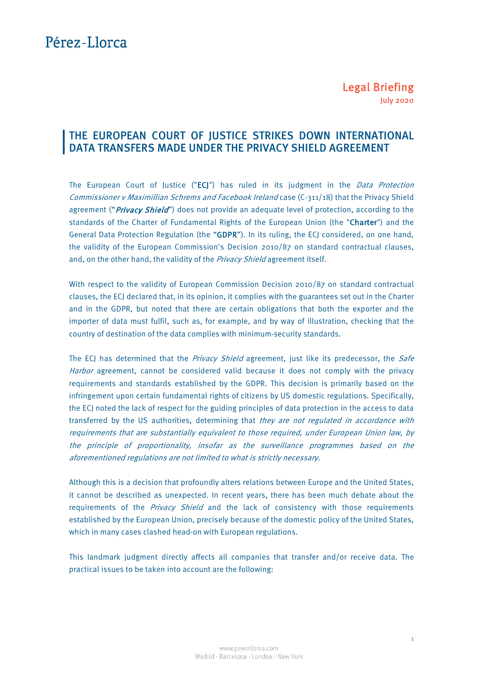# Pérez-Llorca

## THE EUROPEAN COURT OF JUSTICE STRIKES DOWN INTERNATIONAL DATA TRANSFERS MADE UNDER THE PRIVACY SHIELD AGREEMENT

The European Court of Justice ("ECJ") has ruled in its judgment in the Data Protection Commissioner v Maximillian Schrems and Facebook Ireland case (C-311/18) that the Privacy Shield agreement ("Privacy Shield") does not provide an adequate level of protection, according to the standards of the Charter of Fundamental Rights of the European Union (the "Charter") and the General Data Protection Regulation (the "GDPR"). In its ruling, the ECJ considered, on one hand, the validity of the European Commission's Decision 2010/87 on standard contractual clauses, and, on the other hand, the validity of the Privacy Shield agreement itself.

With respect to the validity of European Commission Decision 2010/87 on standard contractual clauses, the ECJ declared that, in its opinion, it complies with the guarantees set out in the Charter and in the GDPR, but noted that there are certain obligations that both the exporter and the importer of data must fulfil, such as, for example, and by way of illustration, checking that the country of destination of the data complies with minimum-security standards.

The ECJ has determined that the *Privacy Shield* agreement, just like its predecessor, the *Safe* Harbor agreement, cannot be considered valid because it does not comply with the privacy requirements and standards established by the GDPR. This decision is primarily based on the infringement upon certain fundamental rights of citizens by US domestic regulations. Specifically, the ECJ noted the lack of respect for the guiding principles of data protection in the access to data transferred by the US authorities, determining that they are not regulated in accordance with requirements that are substantially equivalent to those required, under European Union law, by the principle of proportionality, insofar as the surveillance programmes based on the aforementioned regulations are not limited to what is strictly necessary.

Although this is a decision that profoundly alters relations between Europe and the United States, it cannot be described as unexpected. In recent years, there has been much debate about the requirements of the *Privacy Shield* and the lack of consistency with those requirements established by the European Union, precisely because of the domestic policy of the United States, which in many cases clashed head-on with European regulations.

This landmark judgment directly affects all companies that transfer and/or receive data. The practical issues to be taken into account are the following: